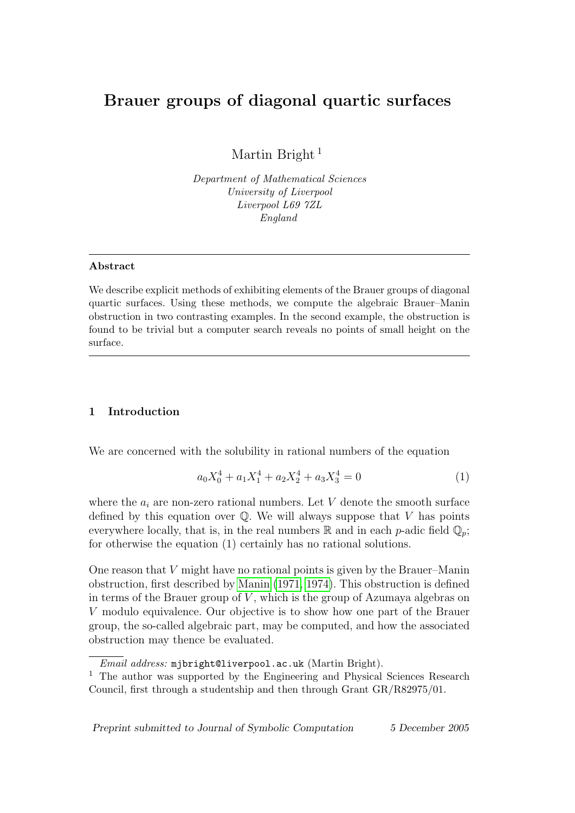# Brauer groups of diagonal quartic surfaces

Martin Bright<sup>1</sup>

Department of Mathematical Sciences University of Liverpool Liverpool L69 7ZL England

#### Abstract

We describe explicit methods of exhibiting elements of the Brauer groups of diagonal quartic surfaces. Using these methods, we compute the algebraic Brauer–Manin obstruction in two contrasting examples. In the second example, the obstruction is found to be trivial but a computer search reveals no points of small height on the surface.

# 1 Introduction

We are concerned with the solubility in rational numbers of the equation

$$
a_0X_0^4 + a_1X_1^4 + a_2X_2^4 + a_3X_3^4 = 0
$$
\n<sup>(1)</sup>

where the  $a_i$  are non-zero rational numbers. Let V denote the smooth surface defined by this equation over  $\mathbb{Q}$ . We will always suppose that V has points everywhere locally, that is, in the real numbers  $\mathbb R$  and in each p-adic field  $\mathbb Q_p$ ; for otherwise the equation (1) certainly has no rational solutions.

One reason that  $V$  might have no rational points is given by the Brauer–Manin obstruction, first described by [Manin](#page-19-0) [\(1971,](#page-19-0) [1974\)](#page-19-1). This obstruction is defined in terms of the Brauer group of  $V$ , which is the group of Azumaya algebras on V modulo equivalence. Our objective is to show how one part of the Brauer group, the so-called algebraic part, may be computed, and how the associated obstruction may thence be evaluated.

Preprint submitted to Journal of Symbolic Computation 5 December 2005

Email address: mjbright@liverpool.ac.uk (Martin Bright).

<sup>&</sup>lt;sup>1</sup> The author was supported by the Engineering and Physical Sciences Research Council, first through a studentship and then through Grant GR/R82975/01.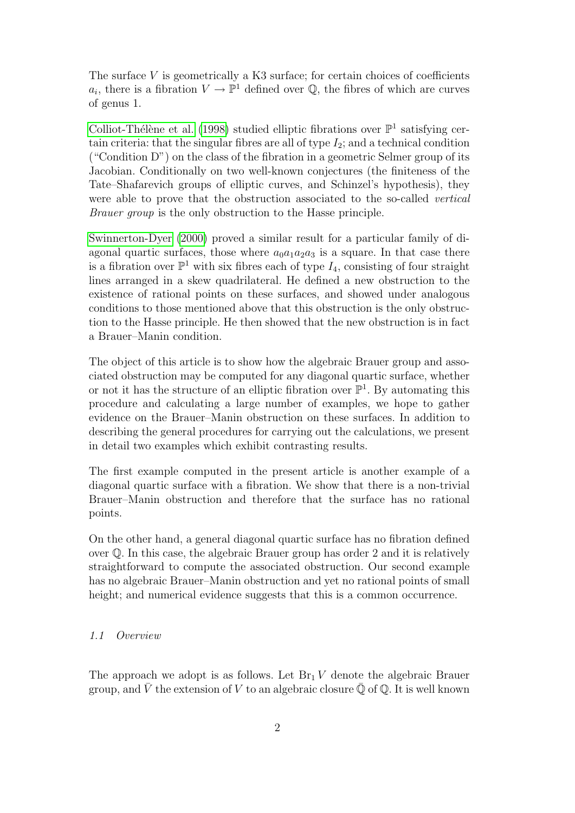The surface  $V$  is geometrically a K3 surface; for certain choices of coefficients  $a_i$ , there is a fibration  $V \to \mathbb{P}^1$  defined over Q, the fibres of which are curves of genus 1.

Colliot-Thélène et al. [\(1998\)](#page-19-2) studied elliptic fibrations over  $\mathbb{P}^1$  satisfying certain criteria: that the singular fibres are all of type  $I_2$ ; and a technical condition ("Condition D") on the class of the fibration in a geometric Selmer group of its Jacobian. Conditionally on two well-known conjectures (the finiteness of the Tate–Shafarevich groups of elliptic curves, and Schinzel's hypothesis), they were able to prove that the obstruction associated to the so-called vertical Brauer group is the only obstruction to the Hasse principle.

[Swinnerton-Dyer](#page-19-3) [\(2000\)](#page-19-3) proved a similar result for a particular family of diagonal quartic surfaces, those where  $a_0a_1a_2a_3$  is a square. In that case there is a fibration over  $\mathbb{P}^1$  with six fibres each of type  $I_4$ , consisting of four straight lines arranged in a skew quadrilateral. He defined a new obstruction to the existence of rational points on these surfaces, and showed under analogous conditions to those mentioned above that this obstruction is the only obstruction to the Hasse principle. He then showed that the new obstruction is in fact a Brauer–Manin condition.

The object of this article is to show how the algebraic Brauer group and associated obstruction may be computed for any diagonal quartic surface, whether or not it has the structure of an elliptic fibration over  $\mathbb{P}^1$ . By automating this procedure and calculating a large number of examples, we hope to gather evidence on the Brauer–Manin obstruction on these surfaces. In addition to describing the general procedures for carrying out the calculations, we present in detail two examples which exhibit contrasting results.

The first example computed in the present article is another example of a diagonal quartic surface with a fibration. We show that there is a non-trivial Brauer–Manin obstruction and therefore that the surface has no rational points.

On the other hand, a general diagonal quartic surface has no fibration defined over Q. In this case, the algebraic Brauer group has order 2 and it is relatively straightforward to compute the associated obstruction. Our second example has no algebraic Brauer–Manin obstruction and yet no rational points of small height; and numerical evidence suggests that this is a common occurrence.

#### 1.1 Overview

The approach we adopt is as follows. Let  $Br_1 V$  denote the algebraic Brauer group, and V the extension of V to an algebraic closure  $\mathbb Q$  of  $\mathbb Q$ . It is well known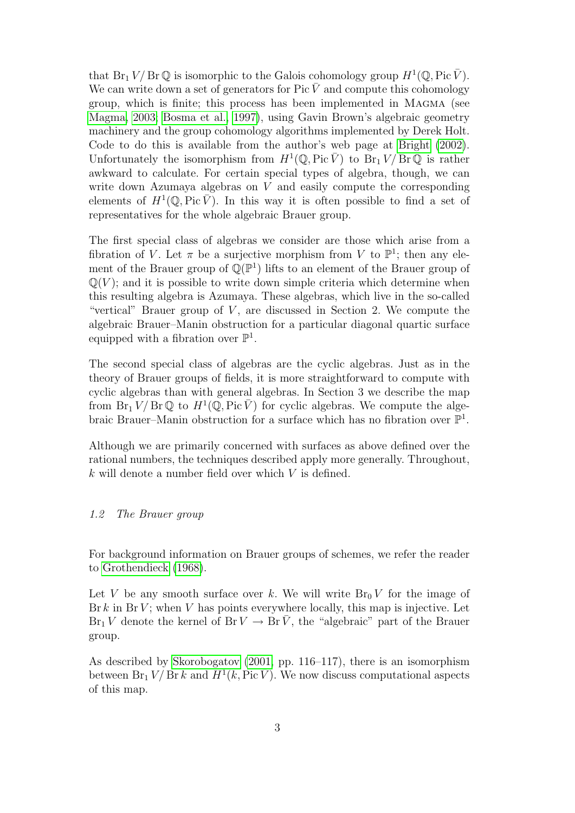that  $Br_1 V/Br \mathbb{Q}$  is isomorphic to the Galois cohomology group  $H^1(\mathbb{Q}, Pic \overline{V})$ . We can write down a set of generators for Pic  $\bar{V}$  and compute this cohomology group, which is finite; this process has been implemented in Magma (see [Magma, 2003;](#page-19-4) [Bosma et al., 1997\)](#page-18-0), using Gavin Brown's algebraic geometry machinery and the group cohomology algorithms implemented by Derek Holt. Code to do this is available from the author's web page at [Bright](#page-18-1) [\(2002\)](#page-18-1). Unfortunately the isomorphism from  $H^1(\mathbb{Q}, \text{Pic}\overline{V})$  to  $\text{Br}_1 V / \text{Br} \mathbb{Q}$  is rather awkward to calculate. For certain special types of algebra, though, we can write down Azumaya algebras on V and easily compute the corresponding elements of  $H^1(\mathbb{Q}, \text{Pic }\overline{V})$ . In this way it is often possible to find a set of representatives for the whole algebraic Brauer group.

The first special class of algebras we consider are those which arise from a fibration of V. Let  $\pi$  be a surjective morphism from V to  $\mathbb{P}^1$ ; then any element of the Brauer group of  $\mathbb{Q}(\mathbb{P}^1)$  lifts to an element of the Brauer group of  $\mathbb{Q}(V)$ ; and it is possible to write down simple criteria which determine when this resulting algebra is Azumaya. These algebras, which live in the so-called "vertical" Brauer group of  $V$ , are discussed in Section 2. We compute the algebraic Brauer–Manin obstruction for a particular diagonal quartic surface equipped with a fibration over  $\mathbb{P}^1$ .

The second special class of algebras are the cyclic algebras. Just as in the theory of Brauer groups of fields, it is more straightforward to compute with cyclic algebras than with general algebras. In Section 3 we describe the map from  $\text{Br}_1 V / \text{Br} \mathbb{Q}$  to  $H^1(\mathbb{Q}, \text{Pic } \bar{V})$  for cyclic algebras. We compute the algebraic Brauer–Manin obstruction for a surface which has no fibration over  $\mathbb{P}^1$ .

Although we are primarily concerned with surfaces as above defined over the rational numbers, the techniques described apply more generally. Throughout, k will denote a number field over which V is defined.

# 1.2 The Brauer group

For background information on Brauer groups of schemes, we refer the reader to [Grothendieck](#page-19-5) [\(1968\)](#page-19-5).

Let V be any smooth surface over k. We will write  $Br_0 V$  for the image of Br k in Br V; when V has points everywhere locally, this map is injective. Let  $Br_1 V$  denote the kernel of  $Br V \to Br \overline{V}$ , the "algebraic" part of the Brauer group.

As described by [Skorobogatov](#page-19-6) [\(2001,](#page-19-6) pp. 116–117), there is an isomorphism between  $Br_1 V/Br k$  and  $H^1(k, Pic\bar{V})$ . We now discuss computational aspects of this map.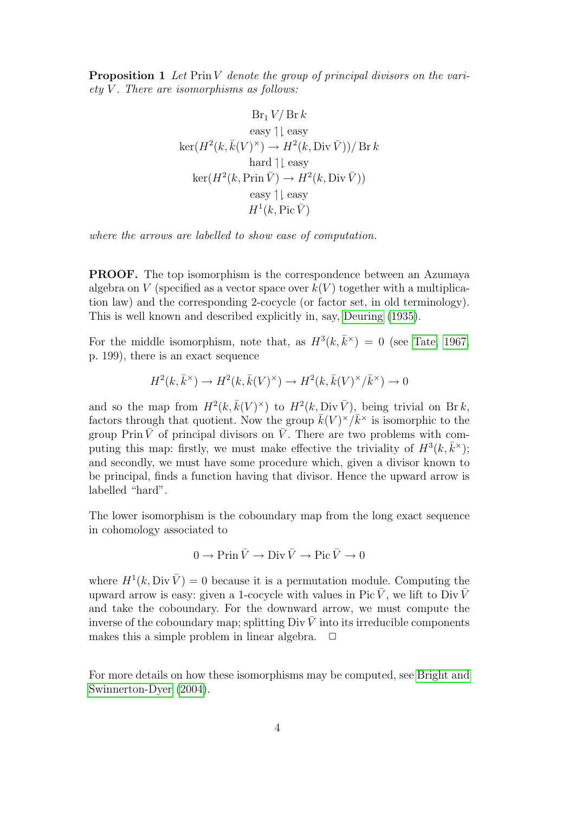Proposition 1 Let Prin V denote the group of principal divisors on the vari $ety V.$  There are isomorphisms as follows:

$$
Br_1 V/Br k
$$
  
easy  $|\downarrow$  easy  

$$
\ker(H^2(k, \bar{k}(V)^{\times}) \to H^2(k, \text{Div }\bar{V}))/Br k
$$
  
hard  $|\downarrow$  easy  

$$
\ker(H^2(k, \text{Prin }\bar{V}) \to H^2(k, \text{Div }\bar{V}))
$$
  
easy  $|\downarrow$  easy  
 $H^1(k, \text{Pic }\bar{V})$ 

where the arrows are labelled to show ease of computation.

PROOF. The top isomorphism is the correspondence between an Azumaya algebra on V (specified as a vector space over  $k(V)$  together with a multiplication law) and the corresponding 2-cocycle (or factor set, in old terminology). This is well known and described explicitly in, say, [Deuring](#page-19-7) [\(1935\)](#page-19-7).

For the middle isomorphism, note that, as  $H^3(k, \bar{k}^{\times}) = 0$  (see [Tate, 1967,](#page-19-8) p. 199), there is an exact sequence

$$
H^2(k, \bar{k}^{\times}) \to H^2(k, \bar{k}(V)^{\times}) \to H^2(k, \bar{k}(V)^{\times}/\bar{k}^{\times}) \to 0
$$

and so the map from  $H^2(k, \bar{k}(V)^{\times})$  to  $H^2(k, Div\bar{V})$ , being trivial on Brk, factors through that quotient. Now the group  $\bar{k}(V)^{\times}/\bar{k}^{\times}$  is isomorphic to the group Prin  $\bar{V}$  of principal divisors on  $\bar{V}$ . There are two problems with computing this map: firstly, we must make effective the triviality of  $H^3(k, \bar{k}^{\times})$ ; and secondly, we must have some procedure which, given a divisor known to be principal, finds a function having that divisor. Hence the upward arrow is labelled "hard".

The lower isomorphism is the coboundary map from the long exact sequence in cohomology associated to

$$
0 \to \operatorname{Prin} \bar{V} \to \operatorname{Div} \bar{V} \to \operatorname{Pic} \bar{V} \to 0
$$

where  $H^1(k, \text{Div }\bar{V}) = 0$  because it is a permutation module. Computing the upward arrow is easy: given a 1-cocycle with values in Pic  $\overline{V}$ , we lift to Div  $\overline{V}$ and take the coboundary. For the downward arrow, we must compute the inverse of the coboundary map; splitting Div  $\bar{V}$  into its irreducible components makes this a simple problem in linear algebra.  $\Box$ 

For more details on how these isomorphisms may be computed, see [Bright and](#page-18-2) [Swinnerton-Dyer](#page-18-2) [\(2004\)](#page-18-2).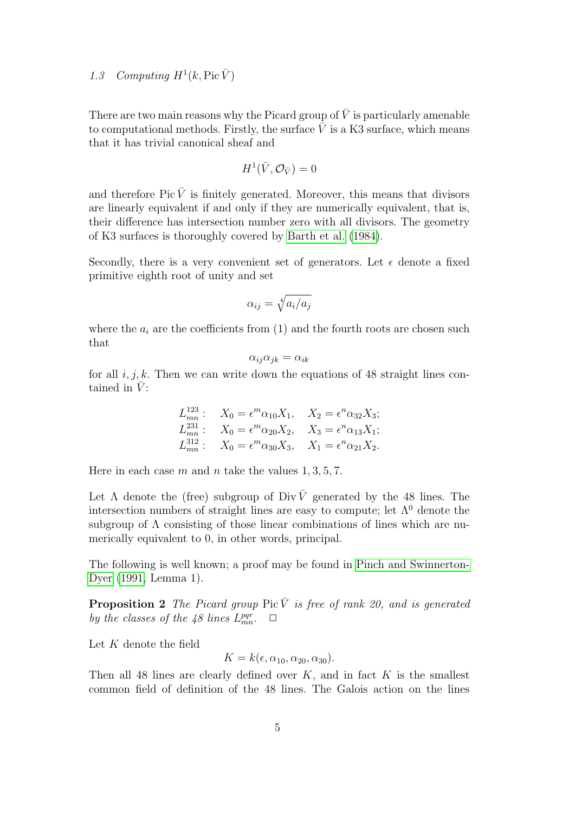# 1.3 Computing  $H^1(k, \text{Pic }\bar{V})$

There are two main reasons why the Picard group of  $\bar{V}$  is particularly amenable to computational methods. Firstly, the surface  $\overline{V}$  is a K3 surface, which means that it has trivial canonical sheaf and

$$
H^1(\bar V, \mathcal O_{\bar V})=0
$$

and therefore Pic  $\bar{V}$  is finitely generated. Moreover, this means that divisors are linearly equivalent if and only if they are numerically equivalent, that is, their difference has intersection number zero with all divisors. The geometry of K3 surfaces is thoroughly covered by [Barth et al.](#page-18-3) [\(1984\)](#page-18-3).

Secondly, there is a very convenient set of generators. Let  $\epsilon$  denote a fixed primitive eighth root of unity and set

$$
\alpha_{ij} = \sqrt[4]{a_i/a_j}
$$

where the  $a_i$  are the coefficients from  $(1)$  and the fourth roots are chosen such that

$$
\alpha_{ij}\alpha_{jk} = \alpha_{ik}
$$

for all  $i, j, k$ . Then we can write down the equations of 48 straight lines contained in  $\bar{V}$ :

$$
L_{mn}^{123}: \quad X_0 = \epsilon^m \alpha_{10} X_1, \quad X_2 = \epsilon^n \alpha_{32} X_3; \nL_{mn}^{231}: \quad X_0 = \epsilon^m \alpha_{20} X_2, \quad X_3 = \epsilon^n \alpha_{13} X_1; \nL_{mn}^{312}: \quad X_0 = \epsilon^m \alpha_{30} X_3, \quad X_1 = \epsilon^n \alpha_{21} X_2.
$$

Here in each case m and n take the values  $1, 3, 5, 7$ .

Let  $\Lambda$  denote the (free) subgroup of Div  $\overline{V}$  generated by the 48 lines. The intersection numbers of straight lines are easy to compute; let  $\Lambda^0$  denote the subgroup of Λ consisting of those linear combinations of lines which are numerically equivalent to 0, in other words, principal.

The following is well known; a proof may be found in [Pinch and Swinnerton-](#page-19-9)[Dyer](#page-19-9) [\(1991,](#page-19-9) Lemma 1).

**Proposition 2** The Picard group Pic  $\overline{V}$  is free of rank 20, and is generated by the classes of the 48 lines  $L_{mn}^{pqr}$ .  $\Box$ 

Let  $K$  denote the field

$$
K = k(\epsilon, \alpha_{10}, \alpha_{20}, \alpha_{30}).
$$

Then all 48 lines are clearly defined over  $K$ , and in fact  $K$  is the smallest common field of definition of the 48 lines. The Galois action on the lines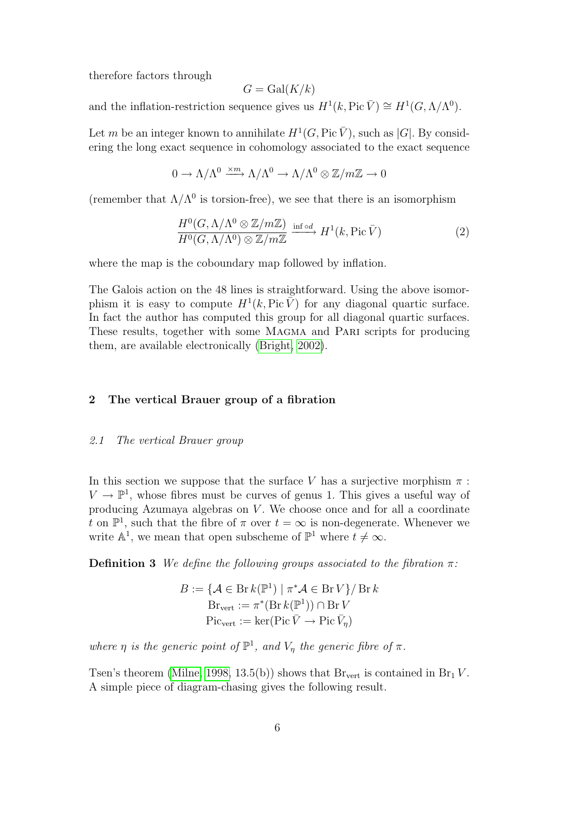therefore factors through

$$
G = \operatorname{Gal}(K/k)
$$

and the inflation-restriction sequence gives us  $H^1(k, \text{Pic }\bar{V}) \cong H^1(G, \Lambda/\Lambda^0)$ .

Let m be an integer known to annihilate  $H^1(G, \text{Pic }\bar{V})$ , such as |G|. By considering the long exact sequence in cohomology associated to the exact sequence

$$
0 \to \Lambda/\Lambda^0 \xrightarrow{\times m} \Lambda/\Lambda^0 \to \Lambda/\Lambda^0 \otimes \mathbb{Z}/m\mathbb{Z} \to 0
$$

(remember that  $\Lambda/\Lambda^0$  is torsion-free), we see that there is an isomorphism

$$
\frac{H^0(G, \Lambda/\Lambda^0 \otimes \mathbb{Z}/m\mathbb{Z})}{H^0(G, \Lambda/\Lambda^0) \otimes \mathbb{Z}/m\mathbb{Z}} \xrightarrow{\text{inf od}} H^1(k, \text{Pic }\bar{V})
$$
\n(2)

where the map is the coboundary map followed by inflation.

The Galois action on the 48 lines is straightforward. Using the above isomorphism it is easy to compute  $H^1(k, \text{Pic }\tilde{V})$  for any diagonal quartic surface. In fact the author has computed this group for all diagonal quartic surfaces. These results, together with some MAGMA and PARI scripts for producing them, are available electronically [\(Bright, 2002\)](#page-18-1).

# 2 The vertical Brauer group of a fibration

# 2.1 The vertical Brauer group

In this section we suppose that the surface V has a surjective morphism  $\pi$ :  $V \to \mathbb{P}^1$ , whose fibres must be curves of genus 1. This gives a useful way of producing Azumaya algebras on  $V$ . We choose once and for all a coordinate t on  $\mathbb{P}^1$ , such that the fibre of  $\pi$  over  $t = \infty$  is non-degenerate. Whenever we write  $\mathbb{A}^1$ , we mean that open subscheme of  $\mathbb{P}^1$  where  $t \neq \infty$ .

**Definition 3** We define the following groups associated to the fibration  $\pi$ :

$$
B := \{ \mathcal{A} \in \text{Br} \, k(\mathbb{P}^1) \mid \pi^* \mathcal{A} \in \text{Br} \, V \} / \, \text{Br} \, k \}
$$

$$
\text{Br}_{\text{vert}} := \pi^* (\text{Br} \, k(\mathbb{P}^1)) \cap \text{Br} \, V
$$

$$
\text{Pic}_{\text{vert}} := \text{ker}(\text{Pic} \, \bar{V} \to \text{Pic} \, \bar{V}_{\eta})
$$

where  $\eta$  is the generic point of  $\mathbb{P}^1$ , and  $V_{\eta}$  the generic fibre of  $\pi$ .

Tsen's theorem [\(Milne, 1998,](#page-19-10) 13.5(b)) shows that  $\text{Br}_{\text{vert}}$  is contained in  $\text{Br}_1 V$ . A simple piece of diagram-chasing gives the following result.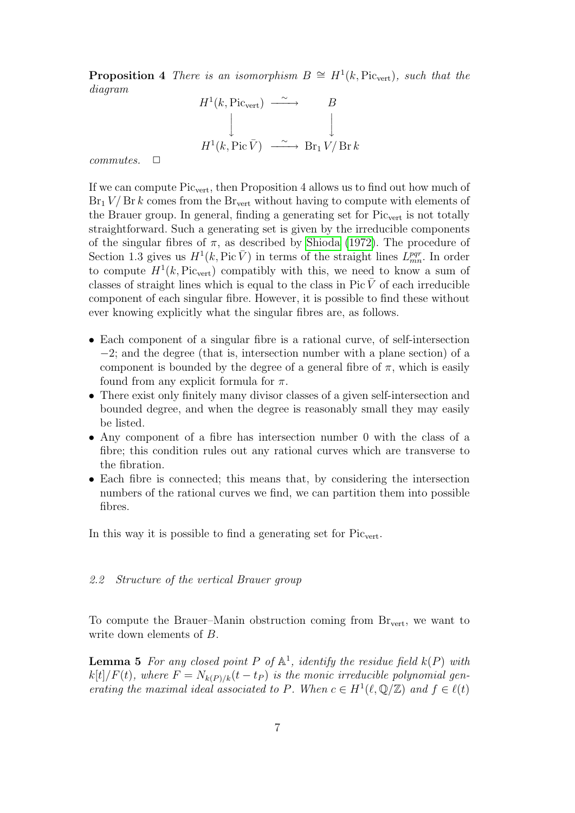**Proposition 4** There is an isomorphism  $B \cong H^1(k, Pic_{vert})$ , such that the diagram



 $commutes. \quad \Box$ 

If we can compute Picvert, then Proposition 4 allows us to find out how much of  $Br_1 V/Br k$  comes from the  $Br_{vert}$  without having to compute with elements of the Brauer group. In general, finding a generating set for  $Pic_{vert}$  is not totally straightforward. Such a generating set is given by the irreducible components of the singular fibres of  $\pi$ , as described by [Shioda](#page-19-11) [\(1972\)](#page-19-11). The procedure of Section 1.3 gives us  $H^1(k, Pic\bar{V})$  in terms of the straight lines  $L_{mn}^{pqr}$ . In order to compute  $H^1(k, Pic_{vert})$  compatibly with this, we need to know a sum of classes of straight lines which is equal to the class in  $Pic V$  of each irreducible component of each singular fibre. However, it is possible to find these without ever knowing explicitly what the singular fibres are, as follows.

- Each component of a singular fibre is a rational curve, of self-intersection −2; and the degree (that is, intersection number with a plane section) of a component is bounded by the degree of a general fibre of  $\pi$ , which is easily found from any explicit formula for  $\pi$ .
- There exist only finitely many divisor classes of a given self-intersection and bounded degree, and when the degree is reasonably small they may easily be listed.
- Any component of a fibre has intersection number 0 with the class of a fibre; this condition rules out any rational curves which are transverse to the fibration.
- Each fibre is connected; this means that, by considering the intersection numbers of the rational curves we find, we can partition them into possible fibres.

In this way it is possible to find a generating set for  $Pic_{vert}$ .

# 2.2 Structure of the vertical Brauer group

To compute the Brauer–Manin obstruction coming from  $\rm Br_{vert}$ , we want to write down elements of B.

**Lemma 5** For any closed point P of  $\mathbb{A}^1$ , identify the residue field  $k(P)$  with  $k[t]/F(t)$ , where  $F = N_{k(P)/k}(t - t_P)$  is the monic irreducible polynomial generating the maximal ideal associated to P. When  $c \in H^1(\ell, \mathbb{Q}/\mathbb{Z})$  and  $f \in \ell(t)$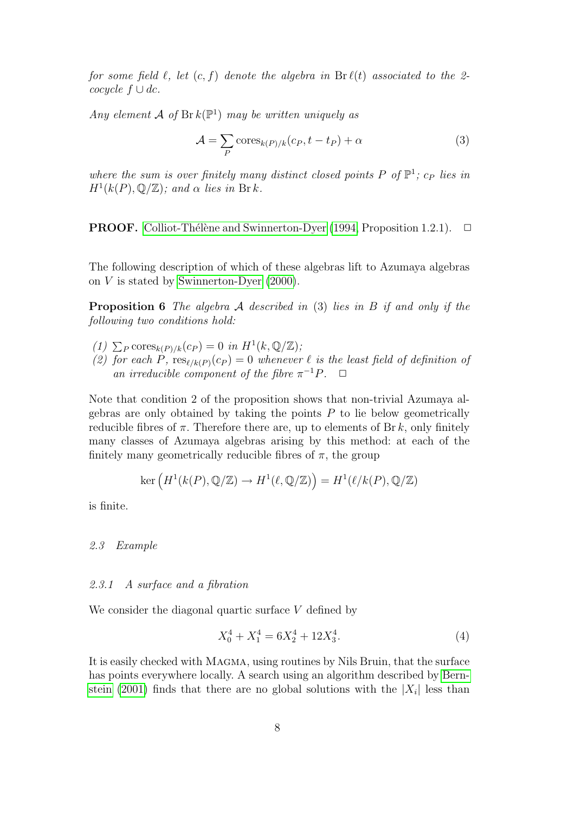for some field  $\ell$ , let  $(c, f)$  denote the algebra in  $Br \ell(t)$  associated to the 2cocycle  $f \cup dc$ .

Any element A of  $Br k(\mathbb{P}^1)$  may be written uniquely as

$$
\mathcal{A} = \sum_{P} \text{cores}_{k(P)/k}(c_P, t - t_P) + \alpha \tag{3}
$$

where the sum is over finitely many distinct closed points P of  $\mathbb{P}^1$ ;  $c_P$  lies in  $H^1(k(P), \mathbb{Q}/\mathbb{Z})$ ; and  $\alpha$  lies in Brk.

**PROOF.** Colliot-Thélène and Swinnerton-Dyer [\(1994,](#page-19-12) Proposition 1.2.1).  $\Box$ 

The following description of which of these algebras lift to Azumaya algebras on  $V$  is stated by [Swinnerton-Dyer](#page-19-3)  $(2000)$ .

**Proposition 6** The algebra  $\mathcal A$  described in (3) lies in  $B$  if and only if the following two conditions hold:

- (1)  $\sum_P \text{cores}_{k(P)/k}(c_P) = 0$  in  $H^1(k, \mathbb{Q}/\mathbb{Z});$
- (2) for each P,  $res_{\ell/k(P)}(c_P) = 0$  whenever  $\ell$  is the least field of definition of an irreducible component of the fibre  $\pi^{-1}P$ .  $\Box$

Note that condition 2 of the proposition shows that non-trivial Azumaya algebras are only obtained by taking the points  $P$  to lie below geometrically reducible fibres of  $\pi$ . Therefore there are, up to elements of Br k, only finitely many classes of Azumaya algebras arising by this method: at each of the finitely many geometrically reducible fibres of  $\pi$ , the group

$$
\ker\left(H^1(k(P), \mathbb{Q}/\mathbb{Z}) \to H^1(\ell, \mathbb{Q}/\mathbb{Z})\right) = H^1(\ell/k(P), \mathbb{Q}/\mathbb{Z})
$$

is finite.

#### 2.3 Example

#### 2.3.1 A surface and a fibration

We consider the diagonal quartic surface  $V$  defined by

$$
X_0^4 + X_1^4 = 6X_2^4 + 12X_3^4. \tag{4}
$$

It is easily checked with MAGMA, using routines by Nils Bruin, that the surface has points everywhere locally. A search using an algorithm described by [Bern](#page-18-4)[stein](#page-18-4) [\(2001\)](#page-18-4) finds that there are no global solutions with the  $|X_i|$  less than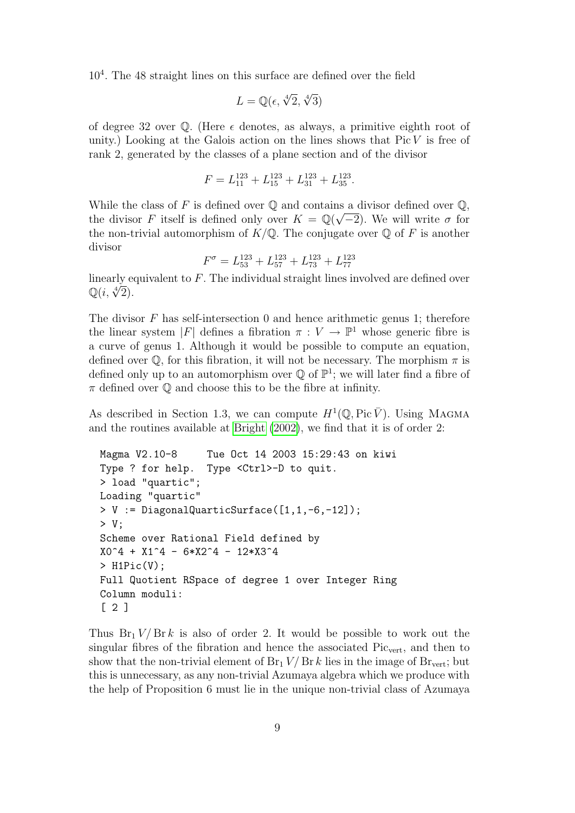10<sup>4</sup> . The 48 straight lines on this surface are defined over the field

$$
L = \mathbb{Q}(\epsilon, \sqrt[4]{2}, \sqrt[4]{3})
$$

of degree 32 over  $\mathbb{O}$ . (Here  $\epsilon$  denotes, as always, a primitive eighth root of unity.) Looking at the Galois action on the lines shows that  $Pic V$  is free of rank 2, generated by the classes of a plane section and of the divisor

$$
F = L_{11}^{123} + L_{15}^{123} + L_{31}^{123} + L_{35}^{123}.
$$

While the class of F is defined over  $\mathbb Q$  and contains a divisor defined over  $\mathbb Q$ , the divisor F itself is defined only over  $K = \mathbb{Q}(\sqrt{-2})$ . We will write  $\sigma$  for the non-trivial automorphism of  $K/\mathbb{Q}$ . The conjugate over  $\mathbb Q$  of F is another divisor

$$
F^{\sigma} = L_{53}^{123} + L_{57}^{123} + L_{73}^{123} + L_{77}^{123}
$$

linearly equivalent to F. The individual straight lines involved are defined over imeariy e $\mathbb{Q}(i, \sqrt[4]{2}).$ 

The divisor  $F$  has self-intersection 0 and hence arithmetic genus 1; therefore the linear system |F| defines a fibration  $\pi: V \to \mathbb{P}^1$  whose generic fibre is a curve of genus 1. Although it would be possible to compute an equation, defined over  $\mathbb Q$ , for this fibration, it will not be necessary. The morphism  $\pi$  is defined only up to an automorphism over  $\mathbb Q$  of  $\mathbb P^1$ ; we will later find a fibre of  $\pi$  defined over  $\mathbb Q$  and choose this to be the fibre at infinity.

As described in Section 1.3, we can compute  $H^1(\mathbb{Q}, \text{Pic }\bar{V})$ . Using MAGMA and the routines available at [Bright](#page-18-1) [\(2002\)](#page-18-1), we find that it is of order 2:

```
Magma V2.10-8 Tue Oct 14 2003 15:29:43 on kiwi
Type ? for help. Type <Ctrl>-D to quit.
> load "quartic";
Loading "quartic"
> V := DiagonalQuarticSurface([1,1,-6,-12]);
> V;
Scheme over Rational Field defined by
X0^4 + X1^4 - 6*X2^4 - 12*X3^4
> H1Pic(V);
Full Quotient RSpace of degree 1 over Integer Ring
Column moduli:
[ 2 ]
```
Thus  $Br_1 V/Br k$  is also of order 2. It would be possible to work out the singular fibres of the fibration and hence the associated  $Pic_{vert}$ , and then to show that the non-trivial element of  $Br_1 V/Br k$  lies in the image of  $Br_{vert}$ ; but this is unnecessary, as any non-trivial Azumaya algebra which we produce with the help of Proposition 6 must lie in the unique non-trivial class of Azumaya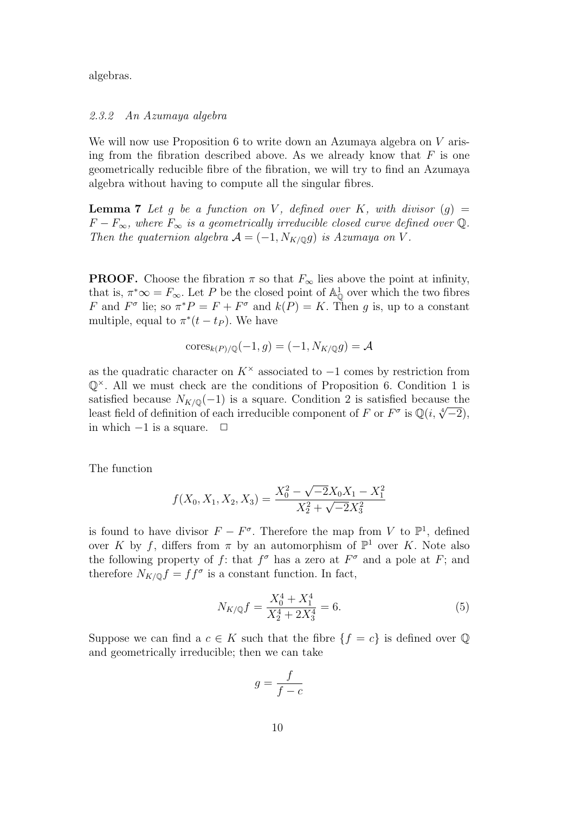algebras.

#### 2.3.2 An Azumaya algebra

We will now use Proposition 6 to write down an Azumaya algebra on V arising from the fibration described above. As we already know that  $F$  is one geometrically reducible fibre of the fibration, we will try to find an Azumaya algebra without having to compute all the singular fibres.

**Lemma 7** Let g be a function on V, defined over K, with divisor  $(g)$  =  $F - F_{\infty}$ , where  $F_{\infty}$  is a geometrically irreducible closed curve defined over Q. Then the quaternion algebra  $A = (-1, N_{K/\mathbb{Q}}g)$  is Azumaya on V.

**PROOF.** Choose the fibration  $\pi$  so that  $F_{\infty}$  lies above the point at infinity, that is,  $\pi^* \infty = F_{\infty}$ . Let P be the closed point of  $\mathbb{A}^1_{\mathbb{Q}}$  over which the two fibres F and  $F^{\sigma}$  lie; so  $\pi^*P = F + F^{\sigma}$  and  $k(P) = K$ . Then g is, up to a constant multiple, equal to  $\pi^*(t - t_P)$ . We have

$$
\mathrm{cores}_{k(P)/\mathbb{Q}}(-1,g)=(-1,N_{K/\mathbb{Q}}g)=\mathcal{A}
$$

as the quadratic character on  $K^{\times}$  associated to  $-1$  comes by restriction from  $\mathbb{Q}^{\times}$ . All we must check are the conditions of Proposition 6. Condition 1 is satisfied because  $N_{K/\mathbb{Q}}(-1)$  is a square. Condition 2 is satisfied because the sausited because  $N_{K/\mathbb{Q}}(-1)$  is a square. Condition 2 is sausited because the<br>least field of definition of each irreducible component of F or  $F^{\sigma}$  is  $\mathbb{Q}(i, \sqrt[4]{-2})$ , in which  $-1$  is a square.  $□$ 

The function

$$
f(X_0, X_1, X_2, X_3) = \frac{X_0^2 - \sqrt{-2}X_0X_1 - X_1^2}{X_2^2 + \sqrt{-2}X_3^2}
$$

is found to have divisor  $F - F^{\sigma}$ . Therefore the map from V to  $\mathbb{P}^1$ , defined over K by f, differs from  $\pi$  by an automorphism of  $\mathbb{P}^1$  over K. Note also the following property of f: that  $f^{\sigma}$  has a zero at  $F^{\sigma}$  and a pole at F; and therefore  $N_{K/\mathbb{Q}}f = ff^{\sigma}$  is a constant function. In fact,

$$
N_{K/\mathbb{Q}}f = \frac{X_0^4 + X_1^4}{X_2^4 + 2X_3^4} = 6.
$$
\n(5)

Suppose we can find a  $c \in K$  such that the fibre  $\{f = c\}$  is defined over  $\mathbb{Q}$ and geometrically irreducible; then we can take

$$
g = \frac{f}{f - c}
$$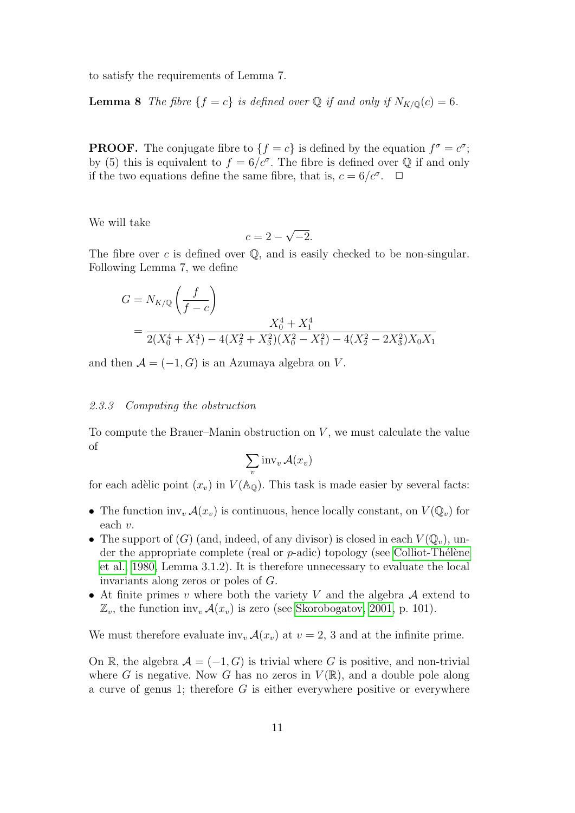to satisfy the requirements of Lemma 7.

**Lemma 8** The fibre  $\{f = c\}$  is defined over Q if and only if  $N_{K/\mathbb{Q}}(c) = 6$ .

**PROOF.** The conjugate fibre to  $\{f = c\}$  is defined by the equation  $f^{\sigma} = c^{\sigma}$ ; by (5) this is equivalent to  $f = 6/c^{\sigma}$ . The fibre is defined over Q if and only if the two equations define the same fibre, that is,  $c = 6/c^{\sigma}$ .  $\Box$ 

We will take

$$
c = 2 - \sqrt{-2}.
$$

The fibre over c is defined over  $\mathbb{Q}$ , and is easily checked to be non-singular. Following Lemma 7, we define

$$
G = N_{K/\mathbb{Q}} \left( \frac{f}{f - c} \right)
$$
  
= 
$$
\frac{X_0^4 + X_1^4}{2(X_0^4 + X_1^4) - 4(X_2^2 + X_3^2)(X_0^2 - X_1^2) - 4(X_2^2 - 2X_3^2)X_0X_1}
$$

and then  $A = (-1, G)$  is an Azumaya algebra on V.

#### 2.3.3 Computing the obstruction

To compute the Brauer–Manin obstruction on  $V$ , we must calculate the value of

$$
\sum_{v} \text{inv}_{v} \mathcal{A}(x_{v})
$$

for each adèlic point  $(x_v)$  in  $V(\mathbb{A}_{\mathbb{Q}})$ . This task is made easier by several facts:

- The function inv<sub>v</sub>  $\mathcal{A}(x_v)$  is continuous, hence locally constant, on  $V(\mathbb{Q}_v)$  for each v.
- The support of  $(G)$  (and, indeed, of any divisor) is closed in each  $V(\mathbb{Q}_v)$ , under the appropriate complete (real or  $p$ -adic) topology (see Colliot-Thélène [et al., 1980,](#page-18-5) Lemma 3.1.2). It is therefore unnecessary to evaluate the local invariants along zeros or poles of G.
- At finite primes v where both the variety V and the algebra  $A$  extend to  $\mathbb{Z}_v$ , the function inv<sub>v</sub>  $\mathcal{A}(x_v)$  is zero (see [Skorobogatov, 2001,](#page-19-6) p. 101).

We must therefore evaluate inv<sub>v</sub>  $\mathcal{A}(x_v)$  at  $v = 2, 3$  and at the infinite prime.

On R, the algebra  $\mathcal{A} = (-1, G)$  is trivial where G is positive, and non-trivial where G is negative. Now G has no zeros in  $V(\mathbb{R})$ , and a double pole along a curve of genus 1; therefore  $G$  is either everywhere positive or everywhere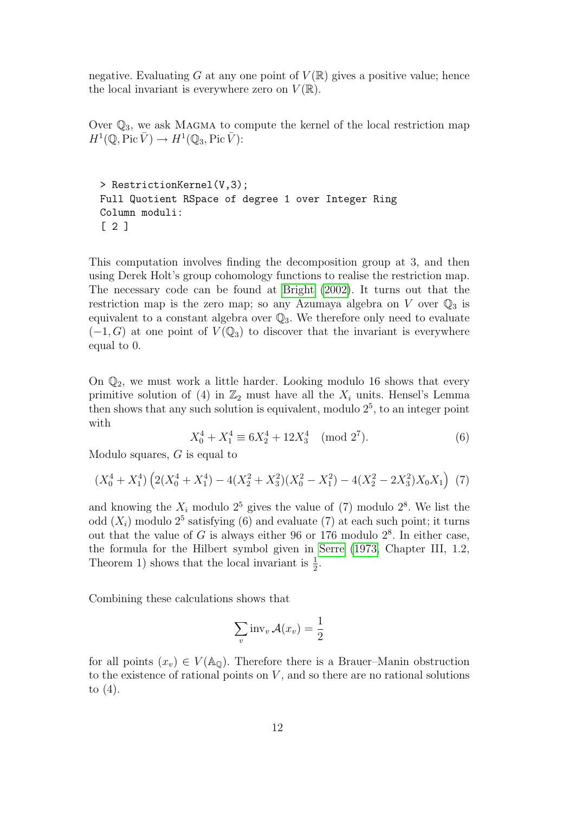negative. Evaluating G at any one point of  $V(\mathbb{R})$  gives a positive value; hence the local invariant is everywhere zero on  $V(\mathbb{R})$ .

Over  $\mathbb{Q}_3$ , we ask MAGMA to compute the kernel of the local restriction map  $H^1(\mathbb{Q}, \text{Pic }\bar{V}) \to H^1(\mathbb{Q}_3, \text{Pic }\bar{V})$ :

> RestrictionKernel(V,3); Full Quotient RSpace of degree 1 over Integer Ring Column moduli: [ 2 ]

This computation involves finding the decomposition group at 3, and then using Derek Holt's group cohomology functions to realise the restriction map. The necessary code can be found at [Bright](#page-18-1) [\(2002\)](#page-18-1). It turns out that the restriction map is the zero map; so any Azumaya algebra on V over  $\mathbb{Q}_3$  is equivalent to a constant algebra over  $\mathbb{Q}_3$ . We therefore only need to evaluate  $(-1, G)$  at one point of  $V(\mathbb{Q}_3)$  to discover that the invariant is everywhere equal to 0.

On  $\mathbb{Q}_2$ , we must work a little harder. Looking modulo 16 shows that every primitive solution of (4) in  $\mathbb{Z}_2$  must have all the  $X_i$  units. Hensel's Lemma then shows that any such solution is equivalent, modulo  $2<sup>5</sup>$ , to an integer point with

$$
X_0^4 + X_1^4 \equiv 6X_2^4 + 12X_3^4 \pmod{2^7}.
$$
 (6)

Modulo squares, G is equal to

$$
(X_0^4 + X_1^4) \left( 2(X_0^4 + X_1^4) - 4(X_2^2 + X_3^2)(X_0^2 - X_1^2) - 4(X_2^2 - 2X_3^2)X_0X_1 \right) (7)
$$

and knowing the  $X_i$  modulo  $2^5$  gives the value of (7) modulo  $2^8$ . We list the odd  $(X_i)$  modulo  $2^5$  satisfying (6) and evaluate (7) at each such point; it turns out that the value of G is always either 96 or 176 modulo  $2^8$ . In either case, the formula for the Hilbert symbol given in [Serre](#page-19-13) [\(1973,](#page-19-13) Chapter III, 1.2, Theorem 1) shows that the local invariant is  $\frac{1}{2}$ .

Combining these calculations shows that

$$
\sum_{v} \text{inv}_{v} \mathcal{A}(x_{v}) = \frac{1}{2}
$$

for all points  $(x_v) \in V(\mathbb{A}_{\mathbb{Q}})$ . Therefore there is a Brauer–Manin obstruction to the existence of rational points on  $V$ , and so there are no rational solutions to (4).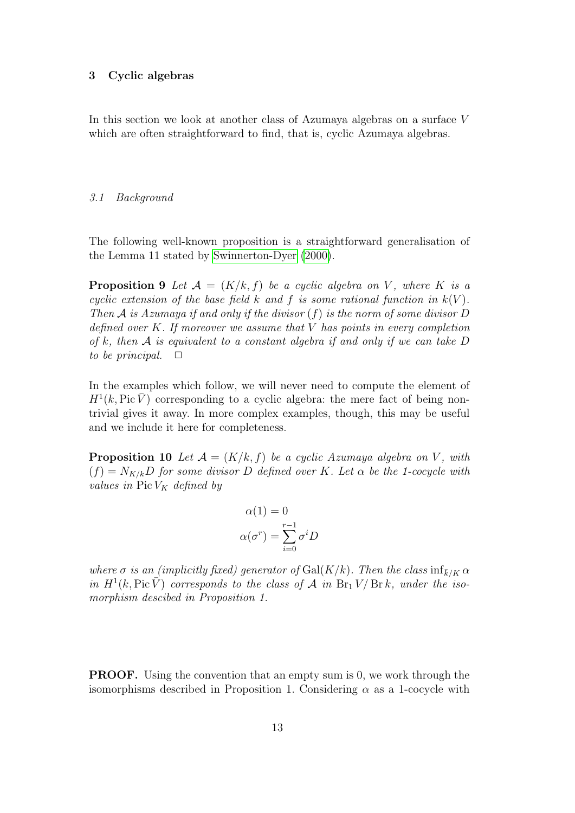#### 3 Cyclic algebras

In this section we look at another class of Azumaya algebras on a surface V which are often straightforward to find, that is, cyclic Azumaya algebras.

#### 3.1 Background

The following well-known proposition is a straightforward generalisation of the Lemma 11 stated by [Swinnerton-Dyer](#page-19-3) [\(2000\)](#page-19-3).

**Proposition 9** Let  $\mathcal{A} = (K/k, f)$  be a cyclic algebra on V, where K is a cyclic extension of the base field k and f is some rational function in  $k(V)$ . Then A is Azumaya if and only if the divisor  $(f)$  is the norm of some divisor D defined over  $K$ . If moreover we assume that  $V$  has points in every completion of k, then  $A$  is equivalent to a constant algebra if and only if we can take  $D$ to be principal.  $\Box$ 

In the examples which follow, we will never need to compute the element of  $H^1(k, Pic\overline{V})$  corresponding to a cyclic algebra: the mere fact of being nontrivial gives it away. In more complex examples, though, this may be useful and we include it here for completeness.

**Proposition 10** Let  $A = (K/k, f)$  be a cyclic Azumaya algebra on V, with  $(f) = N_{K/k}D$  for some divisor D defined over K. Let  $\alpha$  be the 1-cocycle with values in Pic  $V_K$  defined by

$$
\alpha(1) = 0
$$

$$
\alpha(\sigma^r) = \sum_{i=0}^{r-1} \sigma^i D
$$

where  $\sigma$  is an (implicitly fixed) generator of Gal(K/k). Then the class  $\inf_{\bar{k}/K} \alpha$ in  $H^1(k, \text{Pic }\overline{V})$  corresponds to the class of A in  $\text{Br}_1 V/\text{Br } k$ , under the isomorphism descibed in Proposition 1.

PROOF. Using the convention that an empty sum is 0, we work through the isomorphisms described in Proposition 1. Considering  $\alpha$  as a 1-cocycle with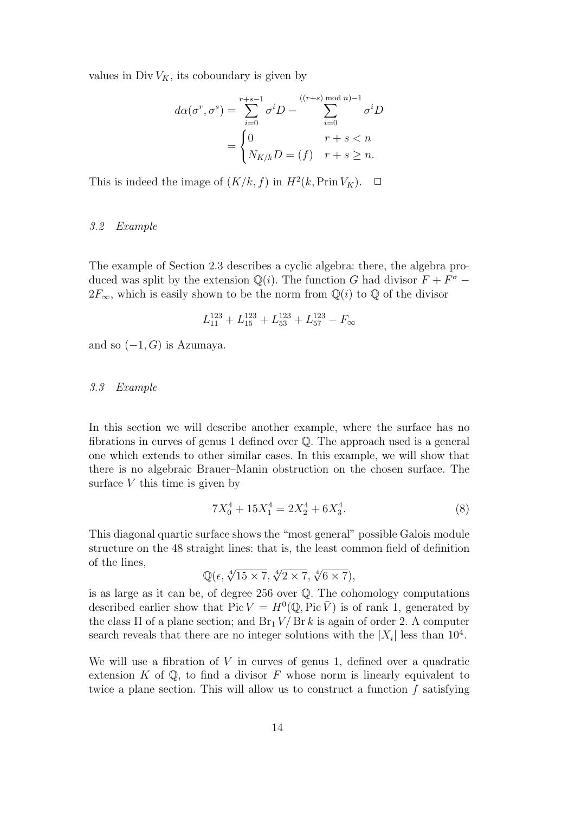values in Div  $V_K$ , its coboundary is given by

$$
d\alpha(\sigma^r, \sigma^s) = \sum_{i=0}^{r+s-1} \sigma^i D - \sum_{i=0}^{((r+s) \mod n)-1} \sigma^i D
$$

$$
= \begin{cases} 0 & r+s < n \\ N_{K/k}D = (f) & r+s \ge n. \end{cases}
$$

This is indeed the image of  $(K/k, f)$  in  $H^2(k, \text{Prin } V_K)$ .  $\Box$ 

#### 3.2 Example

The example of Section 2.3 describes a cyclic algebra: there, the algebra produced was split by the extension  $\mathbb{Q}(i)$ . The function G had divisor  $F + F^{\sigma}$  –  $2F_{\infty}$ , which is easily shown to be the norm from  $\mathbb{Q}(i)$  to  $\mathbb{Q}$  of the divisor

$$
L_{11}^{123} + L_{15}^{123} + L_{53}^{123} + L_{57}^{123} - F_{\infty}
$$

and so  $(-1, G)$  is Azumaya.

#### 3.3 Example

In this section we will describe another example, where the surface has no fibrations in curves of genus 1 defined over Q. The approach used is a general one which extends to other similar cases. In this example, we will show that there is no algebraic Brauer–Manin obstruction on the chosen surface. The surface  $V$  this time is given by

$$
7X_0^4 + 15X_1^4 = 2X_2^4 + 6X_3^4. \tag{8}
$$

This diagonal quartic surface shows the "most general" possible Galois module structure on the 48 straight lines: that is, the least common field of definition of the lines, √4 √4

$$
\mathbb{Q}(\epsilon, \sqrt[4]{15 \times 7}, \sqrt[4]{2 \times 7}, \sqrt[4]{6 \times 7}),
$$

is as large as it can be, of degree 256 over  $\mathbb Q$ . The cohomology computations described earlier show that  $Pic V = H^{0}(\mathbb{Q}, Pic \overline{V})$  is of rank 1, generated by the class  $\Pi$  of a plane section; and  $Br_1 V/Br k$  is again of order 2. A computer search reveals that there are no integer solutions with the  $|X_i|$  less than  $10^4$ .

We will use a fibration of  $V$  in curves of genus 1, defined over a quadratic extension  $K$  of  $\mathbb{Q}$ , to find a divisor  $F$  whose norm is linearly equivalent to twice a plane section. This will allow us to construct a function  $f$  satisfying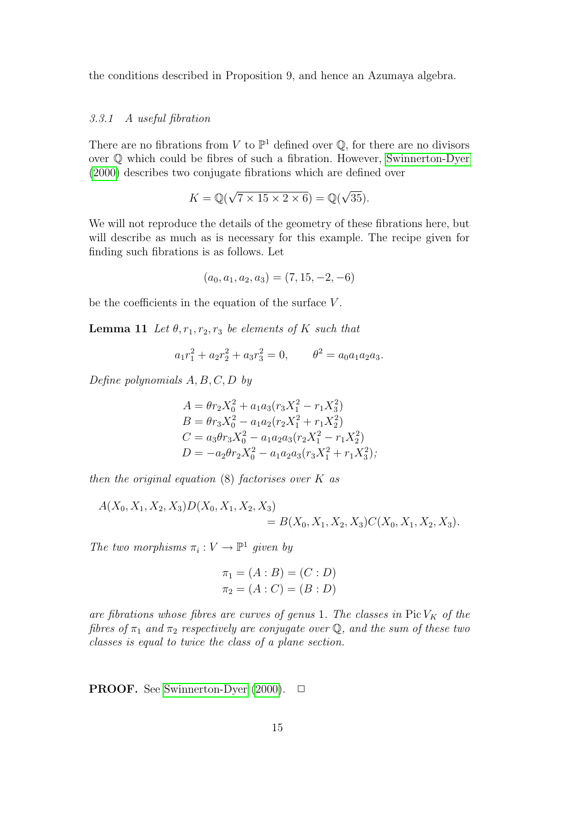the conditions described in Proposition 9, and hence an Azumaya algebra.

#### 3.3.1 A useful fibration

There are no fibrations from V to  $\mathbb{P}^1$  defined over  $\mathbb{Q}$ , for there are no divisors over Q which could be fibres of such a fibration. However, [Swinnerton-Dyer](#page-19-3) [\(2000\)](#page-19-3) describes two conjugate fibrations which are defined over

$$
K = \mathbb{Q}(\sqrt{7 \times 15 \times 2 \times 6}) = \mathbb{Q}(\sqrt{35}).
$$

We will not reproduce the details of the geometry of these fibrations here, but will describe as much as is necessary for this example. The recipe given for finding such fibrations is as follows. Let

$$
(a_0, a_1, a_2, a_3) = (7, 15, -2, -6)
$$

be the coefficients in the equation of the surface  $V$ .

**Lemma 11** Let  $\theta$ ,  $r_1$ ,  $r_2$ ,  $r_3$  be elements of K such that

$$
a_1r_1^2 + a_2r_2^2 + a_3r_3^2 = 0, \qquad \theta^2 = a_0a_1a_2a_3.
$$

Define polynomials  $A, B, C, D$  by

$$
A = \theta r_2 X_0^2 + a_1 a_3 (r_3 X_1^2 - r_1 X_3^2)
$$
  
\n
$$
B = \theta r_3 X_0^2 - a_1 a_2 (r_2 X_1^2 + r_1 X_2^2)
$$
  
\n
$$
C = a_3 \theta r_3 X_0^2 - a_1 a_2 a_3 (r_2 X_1^2 - r_1 X_2^2)
$$
  
\n
$$
D = -a_2 \theta r_2 X_0^2 - a_1 a_2 a_3 (r_3 X_1^2 + r_1 X_3^2),
$$

then the original equation  $(8)$  factorises over K as

$$
A(X_0, X_1, X_2, X_3)D(X_0, X_1, X_2, X_3)
$$
  
=  $B(X_0, X_1, X_2, X_3)C(X_0, X_1, X_2, X_3).$ 

The two morphisms  $\pi_i: V \to \mathbb{P}^1$  given by

$$
\pi_1 = (A : B) = (C : D)
$$
  

$$
\pi_2 = (A : C) = (B : D)
$$

are fibrations whose fibres are curves of genus 1. The classes in  $Pic V_K$  of the fibres of  $\pi_1$  and  $\pi_2$  respectively are conjugate over Q, and the sum of these two classes is equal to twice the class of a plane section.

**PROOF.** See [Swinnerton-Dyer](#page-19-3)  $(2000)$ .  $\Box$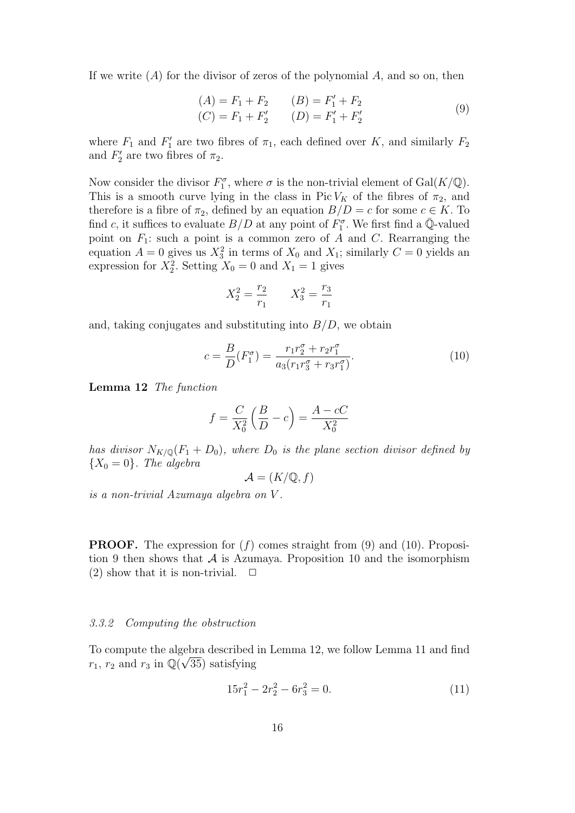If we write  $(A)$  for the divisor of zeros of the polynomial A, and so on, then

$$
(A) = F_1 + F_2 \qquad (B) = F'_1 + F_2
$$
  
\n
$$
(C) = F_1 + F'_2 \qquad (D) = F'_1 + F'_2
$$
\n(9)

where  $F_1$  and  $F'_1$  are two fibres of  $\pi_1$ , each defined over K, and similarly  $F_2$ and  $F_2'$  are two fibres of  $\pi_2$ .

Now consider the divisor  $F_1^{\sigma}$ , where  $\sigma$  is the non-trivial element of  $Gal(K/\mathbb{Q})$ . This is a smooth curve lying in the class in Pic  $V_K$  of the fibres of  $\pi_2$ , and therefore is a fibre of  $\pi_2$ , defined by an equation  $B/D = c$  for some  $c \in K$ . To find c, it suffices to evaluate  $B/D$  at any point of  $F_1^{\sigma}$ . We first find a  $\overline{\mathbb{Q}}$ -valued point on  $F_1$ : such a point is a common zero of A and C. Rearranging the equation  $A = 0$  gives us  $X_3^2$  in terms of  $X_0$  and  $X_1$ ; similarly  $C = 0$  yields an expression for  $X_2^2$ . Setting  $X_0 = 0$  and  $X_1 = 1$  gives

$$
X_2^2 = \frac{r_2}{r_1} \qquad X_3^2 = \frac{r_3}{r_1}
$$

and, taking conjugates and substituting into  $B/D$ , we obtain

$$
c = \frac{B}{D}(F_1^{\sigma}) = \frac{r_1 r_2^{\sigma} + r_2 r_1^{\sigma}}{a_3 (r_1 r_3^{\sigma} + r_3 r_1^{\sigma})}.
$$
 (10)

Lemma 12 The function

$$
f = \frac{C}{X_0^2} \left(\frac{B}{D} - c\right) = \frac{A - cC}{X_0^2}
$$

has divisor  $N_{K/\mathbb{Q}}(F_1+D_0)$ , where  $D_0$  is the plane section divisor defined by  ${X_0 = 0}$ . The algebra

$$
\mathcal{A} = (K/\mathbb{Q}, f)
$$

is a non-trivial Azumaya algebra on V .

**PROOF.** The expression for  $(f)$  comes straight from  $(9)$  and  $(10)$ . Proposition 9 then shows that  $A$  is Azumaya. Proposition 10 and the isomorphism (2) show that it is non-trivial.  $\Box$ 

#### 3.3.2 Computing the obstruction

To compute the algebra described in Lemma 12, we follow Lemma 11 and find  $r_1$ ,  $r_2$  and  $r_3$  in  $\mathbb{Q}(\sqrt{35})$  satisfying

$$
15r_1^2 - 2r_2^2 - 6r_3^2 = 0.\t(11)
$$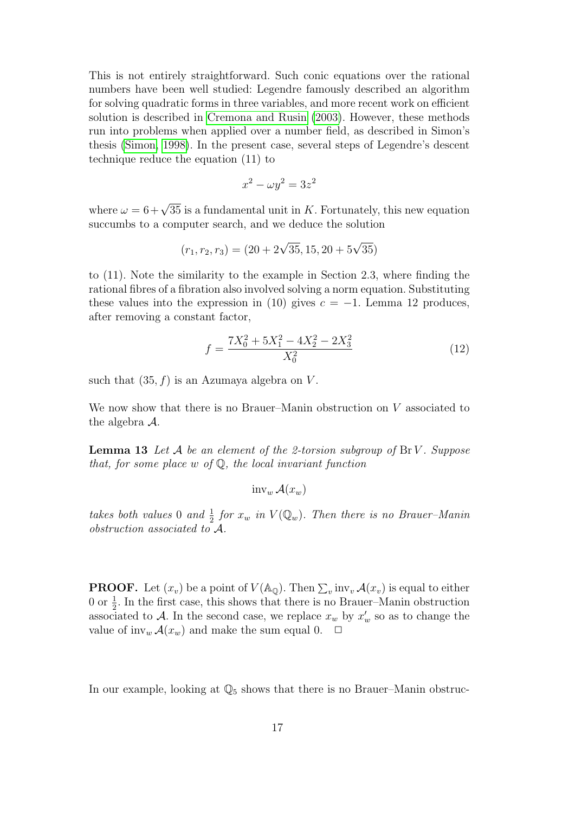This is not entirely straightforward. Such conic equations over the rational numbers have been well studied: Legendre famously described an algorithm for solving quadratic forms in three variables, and more recent work on efficient solution is described in [Cremona and Rusin](#page-19-14) [\(2003\)](#page-19-14). However, these methods run into problems when applied over a number field, as described in Simon's thesis [\(Simon, 1998\)](#page-19-15). In the present case, several steps of Legendre's descent technique reduce the equation (11) to

$$
x^2 - \omega y^2 = 3z^2
$$

where  $\omega = 6 + \sqrt{35}$  is a fundamental unit in K. Fortunately, this new equation succumbs to a computer search, and we deduce the solution

$$
(r_1, r_2, r_3) = (20 + 2\sqrt{35}, 15, 20 + 5\sqrt{35})
$$

to (11). Note the similarity to the example in Section 2.3, where finding the rational fibres of a fibration also involved solving a norm equation. Substituting these values into the expression in (10) gives  $c = -1$ . Lemma 12 produces, after removing a constant factor,

$$
f = \frac{7X_0^2 + 5X_1^2 - 4X_2^2 - 2X_3^2}{X_0^2} \tag{12}
$$

such that  $(35, f)$  is an Azumaya algebra on V.

We now show that there is no Brauer–Manin obstruction on V associated to the algebra A.

**Lemma 13** Let  $A$  be an element of the 2-torsion subgroup of  $\text{Br } V$ . Suppose that, for some place  $w$  of  $\mathbb{Q}$ , the local invariant function

 $inv_w \mathcal{A}(x_w)$ 

takes both values 0 and  $\frac{1}{2}$  for  $x_w$  in  $V(\mathbb{Q}_w)$ . Then there is no Brauer-Manin obstruction associated to A.

**PROOF.** Let  $(x_v)$  be a point of  $V(\mathbb{A}_{\mathbb{Q}})$ . Then  $\sum_v \text{inv}_v \mathcal{A}(x_v)$  is equal to either 0 or  $\frac{1}{2}$ . In the first case, this shows that there is no Brauer–Manin obstruction associated to A. In the second case, we replace  $x_w$  by  $x'_w$  so as to change the value of inv<sub>w</sub>  $\mathcal{A}(x_w)$  and make the sum equal 0.  $\Box$ 

In our example, looking at  $\mathbb{Q}_5$  shows that there is no Brauer–Manin obstruc-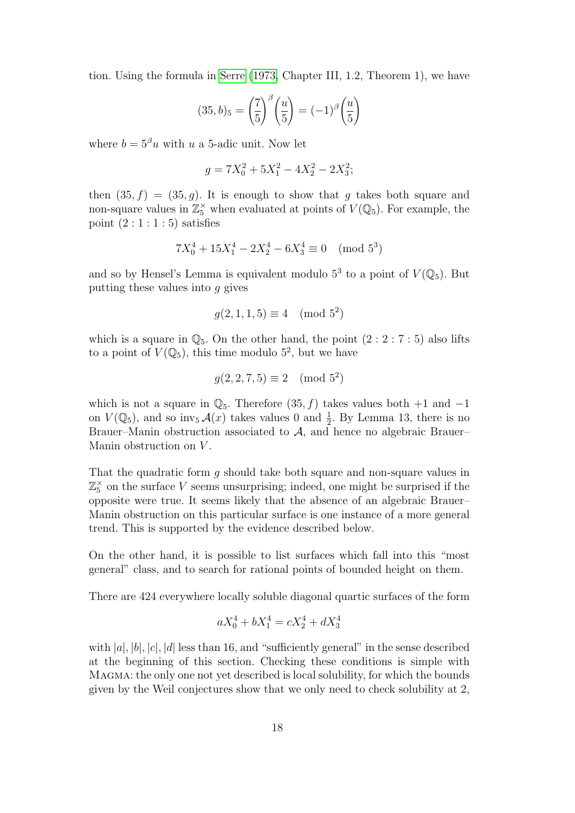tion. Using the formula in [Serre](#page-19-13) [\(1973,](#page-19-13) Chapter III, 1.2, Theorem 1), we have

$$
(35, b)_5 = \left(\frac{7}{5}\right)^{\beta} \left(\frac{u}{5}\right) = (-1)^{\beta} \left(\frac{u}{5}\right)
$$

where  $b = 5^{\beta}u$  with u a 5-adic unit. Now let

$$
g = 7X_0^2 + 5X_1^2 - 4X_2^2 - 2X_3^2;
$$

then  $(35, f) = (35, g)$ . It is enough to show that g takes both square and non-square values in  $\mathbb{Z}_5^{\times}$  when evaluated at points of  $V(\mathbb{Q}_5)$ . For example, the point  $(2:1:1:5)$  satisfies

$$
7X_0^4 + 15X_1^4 - 2X_2^4 - 6X_3^4 \equiv 0 \pmod{5^3}
$$

and so by Hensel's Lemma is equivalent modulo  $5^3$  to a point of  $V(\mathbb{Q}_5)$ . But putting these values into  $q$  gives

$$
g(2, 1, 1, 5) \equiv 4 \pmod{5^2}
$$

which is a square in  $\mathbb{Q}_5$ . On the other hand, the point  $(2:2:7:5)$  also lifts to a point of  $V(\mathbb{Q}_5)$ , this time modulo  $5^2$ , but we have

$$
g(2, 2, 7, 5) \equiv 2 \pmod{5^2}
$$

which is not a square in  $\mathbb{Q}_5$ . Therefore  $(35, f)$  takes values both +1 and -1 on  $V(\mathbb{Q}_5)$ , and so inv<sub>5</sub>  $\mathcal{A}(x)$  takes values 0 and  $\frac{1}{2}$ . By Lemma 13, there is no Brauer–Manin obstruction associated to A, and hence no algebraic Brauer– Manin obstruction on V.

That the quadratic form  $q$  should take both square and non-square values in  $\mathbb{Z}_5^{\times}$  on the surface V seems unsurprising; indeed, one might be surprised if the opposite were true. It seems likely that the absence of an algebraic Brauer– Manin obstruction on this particular surface is one instance of a more general trend. This is supported by the evidence described below.

On the other hand, it is possible to list surfaces which fall into this "most general" class, and to search for rational points of bounded height on them.

There are 424 everywhere locally soluble diagonal quartic surfaces of the form

$$
aX_0^4 + bX_1^4 = cX_2^4 + dX_3^4
$$

with  $|a|, |b|, |c|, |d|$  less than 16, and "sufficiently general" in the sense described at the beginning of this section. Checking these conditions is simple with Magma: the only one not yet described is local solubility, for which the bounds given by the Weil conjectures show that we only need to check solubility at 2,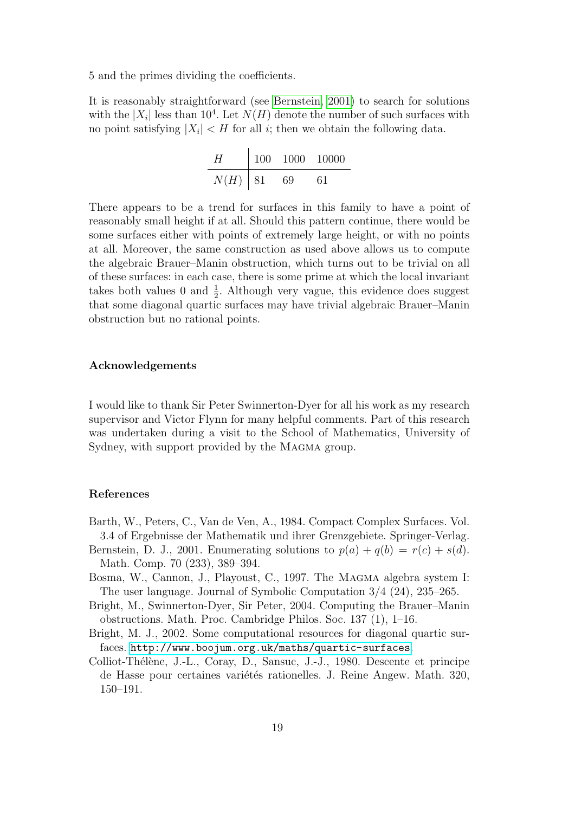5 and the primes dividing the coefficients.

It is reasonably straightforward (see [Bernstein, 2001\)](#page-18-4) to search for solutions with the  $|X_i|$  less than 10<sup>4</sup>. Let  $N(H)$  denote the number of such surfaces with no point satisfying  $|X_i| < H$  for all *i*; then we obtain the following data.

H 100 1000 10000 N(H) 81 69 61

There appears to be a trend for surfaces in this family to have a point of reasonably small height if at all. Should this pattern continue, there would be some surfaces either with points of extremely large height, or with no points at all. Moreover, the same construction as used above allows us to compute the algebraic Brauer–Manin obstruction, which turns out to be trivial on all of these surfaces: in each case, there is some prime at which the local invariant takes both values 0 and  $\frac{1}{2}$ . Although very vague, this evidence does suggest that some diagonal quartic surfaces may have trivial algebraic Brauer–Manin obstruction but no rational points.

#### Acknowledgements

I would like to thank Sir Peter Swinnerton-Dyer for all his work as my research supervisor and Victor Flynn for many helpful comments. Part of this research was undertaken during a visit to the School of Mathematics, University of Sydney, with support provided by the MAGMA group.

# References

- <span id="page-18-3"></span>Barth, W., Peters, C., Van de Ven, A., 1984. Compact Complex Surfaces. Vol. 3.4 of Ergebnisse der Mathematik und ihrer Grenzgebiete. Springer-Verlag.
- <span id="page-18-4"></span>Bernstein, D. J., 2001. Enumerating solutions to  $p(a) + q(b) = r(c) + s(d)$ . Math. Comp. 70 (233), 389–394.
- <span id="page-18-0"></span>Bosma, W., Cannon, J., Playoust, C., 1997. The MAGMA algebra system I: The user language. Journal of Symbolic Computation 3/4 (24), 235–265.
- <span id="page-18-2"></span>Bright, M., Swinnerton-Dyer, Sir Peter, 2004. Computing the Brauer–Manin obstructions. Math. Proc. Cambridge Philos. Soc. 137 (1), 1–16.
- <span id="page-18-1"></span>Bright, M. J., 2002. Some computational resources for diagonal quartic surfaces. <http://www.boojum.org.uk/maths/quartic-surfaces>.
- <span id="page-18-5"></span>Colliot-Thélène, J.-L., Coray, D., Sansuc, J.-J., 1980. Descente et principe de Hasse pour certaines variétés rationelles. J. Reine Angew. Math. 320, 150–191.